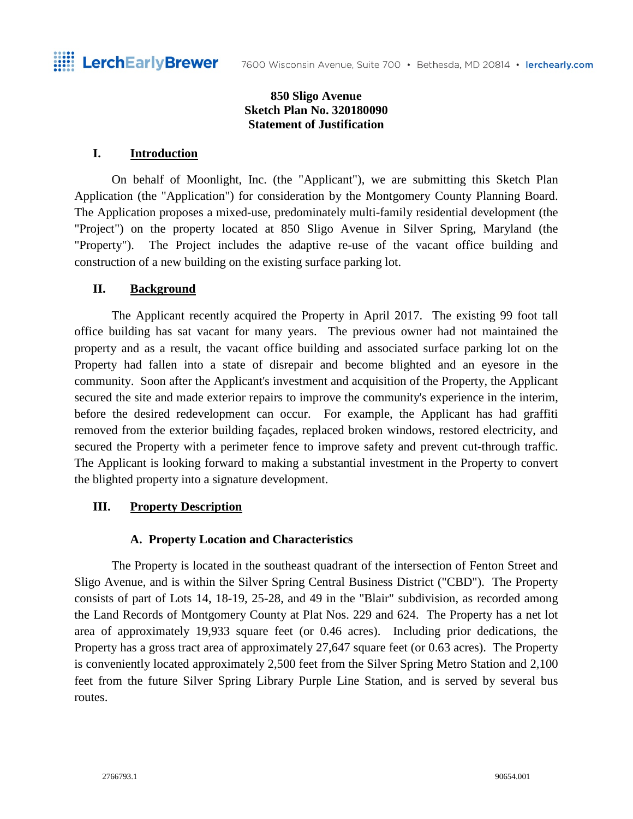#### **850 Sligo Avenue Sketch Plan No. 320180090 Statement of Justification**

#### **I. Introduction**

On behalf of Moonlight, Inc. (the "Applicant"), we are submitting this Sketch Plan Application (the "Application") for consideration by the Montgomery County Planning Board. The Application proposes a mixed-use, predominately multi-family residential development (the "Project") on the property located at 850 Sligo Avenue in Silver Spring, Maryland (the "Property"). The Project includes the adaptive re-use of the vacant office building and construction of a new building on the existing surface parking lot.

#### **II. Background**

The Applicant recently acquired the Property in April 2017. The existing 99 foot tall office building has sat vacant for many years. The previous owner had not maintained the property and as a result, the vacant office building and associated surface parking lot on the Property had fallen into a state of disrepair and become blighted and an eyesore in the community. Soon after the Applicant's investment and acquisition of the Property, the Applicant secured the site and made exterior repairs to improve the community's experience in the interim, before the desired redevelopment can occur. For example, the Applicant has had graffiti removed from the exterior building façades, replaced broken windows, restored electricity, and secured the Property with a perimeter fence to improve safety and prevent cut-through traffic. The Applicant is looking forward to making a substantial investment in the Property to convert the blighted property into a signature development.

#### **III. Property Description**

#### **A. Property Location and Characteristics**

The Property is located in the southeast quadrant of the intersection of Fenton Street and Sligo Avenue, and is within the Silver Spring Central Business District ("CBD"). The Property consists of part of Lots 14, 18-19, 25-28, and 49 in the "Blair" subdivision, as recorded among the Land Records of Montgomery County at Plat Nos. 229 and 624. The Property has a net lot area of approximately 19,933 square feet (or 0.46 acres). Including prior dedications, the Property has a gross tract area of approximately 27,647 square feet (or 0.63 acres). The Property is conveniently located approximately 2,500 feet from the Silver Spring Metro Station and 2,100 feet from the future Silver Spring Library Purple Line Station, and is served by several bus routes.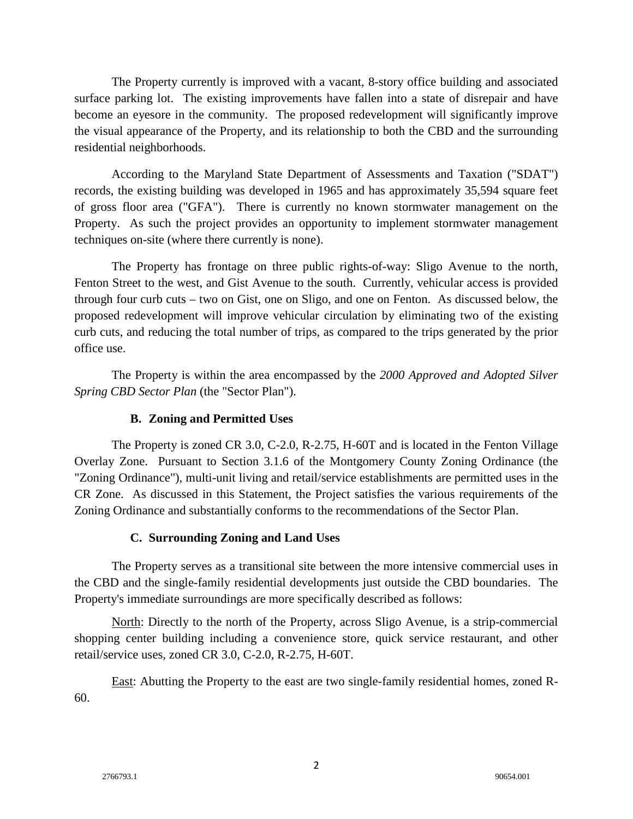The Property currently is improved with a vacant, 8-story office building and associated surface parking lot. The existing improvements have fallen into a state of disrepair and have become an eyesore in the community. The proposed redevelopment will significantly improve the visual appearance of the Property, and its relationship to both the CBD and the surrounding residential neighborhoods.

According to the Maryland State Department of Assessments and Taxation ("SDAT") records, the existing building was developed in 1965 and has approximately 35,594 square feet of gross floor area ("GFA"). There is currently no known stormwater management on the Property. As such the project provides an opportunity to implement stormwater management techniques on-site (where there currently is none).

The Property has frontage on three public rights-of-way: Sligo Avenue to the north, Fenton Street to the west, and Gist Avenue to the south. Currently, vehicular access is provided through four curb cuts – two on Gist, one on Sligo, and one on Fenton. As discussed below, the proposed redevelopment will improve vehicular circulation by eliminating two of the existing curb cuts, and reducing the total number of trips, as compared to the trips generated by the prior office use.

The Property is within the area encompassed by the *2000 Approved and Adopted Silver Spring CBD Sector Plan* (the "Sector Plan").

## **B. Zoning and Permitted Uses**

The Property is zoned CR 3.0, C-2.0, R-2.75, H-60T and is located in the Fenton Village Overlay Zone. Pursuant to Section 3.1.6 of the Montgomery County Zoning Ordinance (the "Zoning Ordinance"), multi-unit living and retail/service establishments are permitted uses in the CR Zone. As discussed in this Statement, the Project satisfies the various requirements of the Zoning Ordinance and substantially conforms to the recommendations of the Sector Plan.

# **C. Surrounding Zoning and Land Uses**

The Property serves as a transitional site between the more intensive commercial uses in the CBD and the single-family residential developments just outside the CBD boundaries. The Property's immediate surroundings are more specifically described as follows:

North: Directly to the north of the Property, across Sligo Avenue, is a strip-commercial shopping center building including a convenience store, quick service restaurant, and other retail/service uses, zoned CR 3.0, C-2.0, R-2.75, H-60T.

East: Abutting the Property to the east are two single-family residential homes, zoned R-60.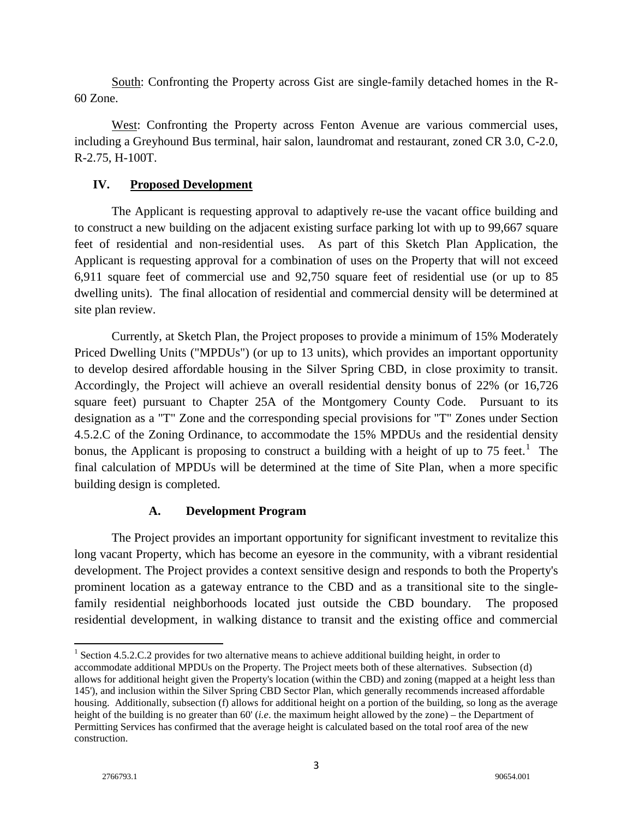South: Confronting the Property across Gist are single-family detached homes in the R-60 Zone.

West: Confronting the Property across Fenton Avenue are various commercial uses, including a Greyhound Bus terminal, hair salon, laundromat and restaurant, zoned CR 3.0, C-2.0, R-2.75, H-100T.

#### **IV. Proposed Development**

The Applicant is requesting approval to adaptively re-use the vacant office building and to construct a new building on the adjacent existing surface parking lot with up to 99,667 square feet of residential and non-residential uses. As part of this Sketch Plan Application, the Applicant is requesting approval for a combination of uses on the Property that will not exceed 6,911 square feet of commercial use and 92,750 square feet of residential use (or up to 85 dwelling units). The final allocation of residential and commercial density will be determined at site plan review.

Currently, at Sketch Plan, the Project proposes to provide a minimum of 15% Moderately Priced Dwelling Units ("MPDUs") (or up to 13 units), which provides an important opportunity to develop desired affordable housing in the Silver Spring CBD, in close proximity to transit. Accordingly, the Project will achieve an overall residential density bonus of 22% (or 16,726 square feet) pursuant to Chapter 25A of the Montgomery County Code. Pursuant to its designation as a "T" Zone and the corresponding special provisions for "T" Zones under Section 4.5.2.C of the Zoning Ordinance, to accommodate the 15% MPDUs and the residential density bonus, the Applicant is proposing to construct a building with a height of up to 75 feet.<sup>[1](#page-2-0)</sup> The final calculation of MPDUs will be determined at the time of Site Plan, when a more specific building design is completed.

## **A. Development Program**

The Project provides an important opportunity for significant investment to revitalize this long vacant Property, which has become an eyesore in the community, with a vibrant residential development. The Project provides a context sensitive design and responds to both the Property's prominent location as a gateway entrance to the CBD and as a transitional site to the singlefamily residential neighborhoods located just outside the CBD boundary. The proposed residential development, in walking distance to transit and the existing office and commercial

<span id="page-2-0"></span><sup>&</sup>lt;sup>1</sup> Section 4.5.2.C.2 provides for two alternative means to achieve additional building height, in order to

accommodate additional MPDUs on the Property. The Project meets both of these alternatives. Subsection (d) allows for additional height given the Property's location (within the CBD) and zoning (mapped at a height less than 145'), and inclusion within the Silver Spring CBD Sector Plan, which generally recommends increased affordable housing. Additionally, subsection (f) allows for additional height on a portion of the building, so long as the average height of the building is no greater than 60' (*i.e*. the maximum height allowed by the zone) – the Department of Permitting Services has confirmed that the average height is calculated based on the total roof area of the new construction.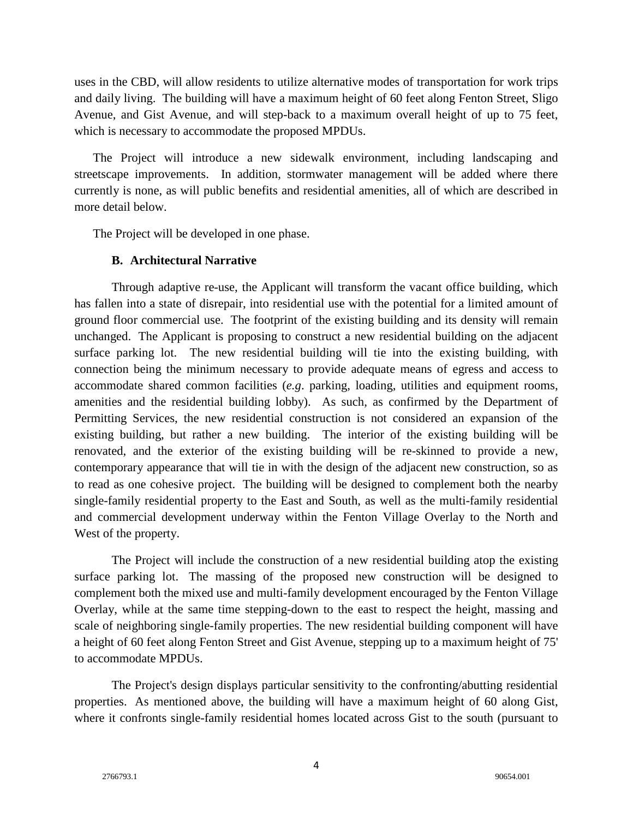uses in the CBD, will allow residents to utilize alternative modes of transportation for work trips and daily living. The building will have a maximum height of 60 feet along Fenton Street, Sligo Avenue, and Gist Avenue, and will step-back to a maximum overall height of up to 75 feet, which is necessary to accommodate the proposed MPDUs.

The Project will introduce a new sidewalk environment, including landscaping and streetscape improvements. In addition, stormwater management will be added where there currently is none, as will public benefits and residential amenities, all of which are described in more detail below.

The Project will be developed in one phase.

#### **B. Architectural Narrative**

Through adaptive re-use, the Applicant will transform the vacant office building, which has fallen into a state of disrepair, into residential use with the potential for a limited amount of ground floor commercial use. The footprint of the existing building and its density will remain unchanged. The Applicant is proposing to construct a new residential building on the adjacent surface parking lot. The new residential building will tie into the existing building, with connection being the minimum necessary to provide adequate means of egress and access to accommodate shared common facilities (*e.g*. parking, loading, utilities and equipment rooms, amenities and the residential building lobby). As such, as confirmed by the Department of Permitting Services, the new residential construction is not considered an expansion of the existing building, but rather a new building. The interior of the existing building will be renovated, and the exterior of the existing building will be re-skinned to provide a new, contemporary appearance that will tie in with the design of the adjacent new construction, so as to read as one cohesive project. The building will be designed to complement both the nearby single-family residential property to the East and South, as well as the multi-family residential and commercial development underway within the Fenton Village Overlay to the North and West of the property.

The Project will include the construction of a new residential building atop the existing surface parking lot. The massing of the proposed new construction will be designed to complement both the mixed use and multi-family development encouraged by the Fenton Village Overlay, while at the same time stepping-down to the east to respect the height, massing and scale of neighboring single-family properties. The new residential building component will have a height of 60 feet along Fenton Street and Gist Avenue, stepping up to a maximum height of 75' to accommodate MPDUs.

The Project's design displays particular sensitivity to the confronting/abutting residential properties. As mentioned above, the building will have a maximum height of 60 along Gist, where it confronts single-family residential homes located across Gist to the south (pursuant to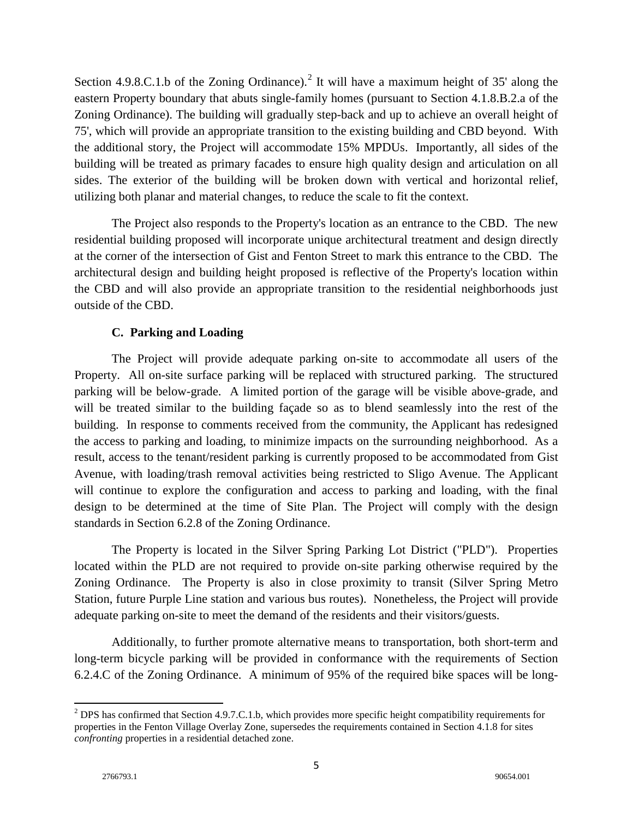Section 4.9.8.C.1.b of the Zoning Ordinance).<sup>[2](#page-4-0)</sup> It will have a maximum height of 35' along the eastern Property boundary that abuts single-family homes (pursuant to Section 4.1.8.B.2.a of the Zoning Ordinance). The building will gradually step-back and up to achieve an overall height of 75', which will provide an appropriate transition to the existing building and CBD beyond. With the additional story, the Project will accommodate 15% MPDUs. Importantly, all sides of the building will be treated as primary facades to ensure high quality design and articulation on all sides. The exterior of the building will be broken down with vertical and horizontal relief, utilizing both planar and material changes, to reduce the scale to fit the context.

The Project also responds to the Property's location as an entrance to the CBD. The new residential building proposed will incorporate unique architectural treatment and design directly at the corner of the intersection of Gist and Fenton Street to mark this entrance to the CBD. The architectural design and building height proposed is reflective of the Property's location within the CBD and will also provide an appropriate transition to the residential neighborhoods just outside of the CBD.

## **C. Parking and Loading**

The Project will provide adequate parking on-site to accommodate all users of the Property. All on-site surface parking will be replaced with structured parking. The structured parking will be below-grade. A limited portion of the garage will be visible above-grade, and will be treated similar to the building façade so as to blend seamlessly into the rest of the building. In response to comments received from the community, the Applicant has redesigned the access to parking and loading, to minimize impacts on the surrounding neighborhood. As a result, access to the tenant/resident parking is currently proposed to be accommodated from Gist Avenue, with loading/trash removal activities being restricted to Sligo Avenue. The Applicant will continue to explore the configuration and access to parking and loading, with the final design to be determined at the time of Site Plan. The Project will comply with the design standards in Section 6.2.8 of the Zoning Ordinance.

The Property is located in the Silver Spring Parking Lot District ("PLD"). Properties located within the PLD are not required to provide on-site parking otherwise required by the Zoning Ordinance. The Property is also in close proximity to transit (Silver Spring Metro Station, future Purple Line station and various bus routes). Nonetheless, the Project will provide adequate parking on-site to meet the demand of the residents and their visitors/guests.

Additionally, to further promote alternative means to transportation, both short-term and long-term bicycle parking will be provided in conformance with the requirements of Section 6.2.4.C of the Zoning Ordinance. A minimum of 95% of the required bike spaces will be long-

<span id="page-4-0"></span><sup>&</sup>lt;sup>2</sup> DPS has confirmed that Section 4.9.7.C.1.b, which provides more specific height compatibility requirements for properties in the Fenton Village Overlay Zone, supersedes the requirements contained in Section 4.1.8 for sites *confronting* properties in a residential detached zone.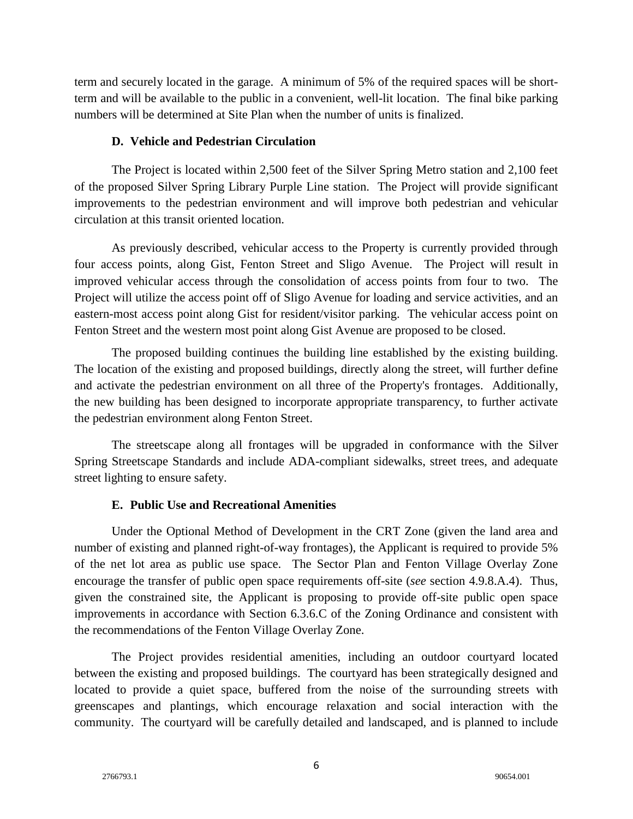term and securely located in the garage. A minimum of 5% of the required spaces will be shortterm and will be available to the public in a convenient, well-lit location. The final bike parking numbers will be determined at Site Plan when the number of units is finalized.

#### **D. Vehicle and Pedestrian Circulation**

The Project is located within 2,500 feet of the Silver Spring Metro station and 2,100 feet of the proposed Silver Spring Library Purple Line station. The Project will provide significant improvements to the pedestrian environment and will improve both pedestrian and vehicular circulation at this transit oriented location.

As previously described, vehicular access to the Property is currently provided through four access points, along Gist, Fenton Street and Sligo Avenue. The Project will result in improved vehicular access through the consolidation of access points from four to two. The Project will utilize the access point off of Sligo Avenue for loading and service activities, and an eastern-most access point along Gist for resident/visitor parking. The vehicular access point on Fenton Street and the western most point along Gist Avenue are proposed to be closed.

The proposed building continues the building line established by the existing building. The location of the existing and proposed buildings, directly along the street, will further define and activate the pedestrian environment on all three of the Property's frontages. Additionally, the new building has been designed to incorporate appropriate transparency, to further activate the pedestrian environment along Fenton Street.

The streetscape along all frontages will be upgraded in conformance with the Silver Spring Streetscape Standards and include ADA-compliant sidewalks, street trees, and adequate street lighting to ensure safety.

## **E. Public Use and Recreational Amenities**

Under the Optional Method of Development in the CRT Zone (given the land area and number of existing and planned right-of-way frontages), the Applicant is required to provide 5% of the net lot area as public use space. The Sector Plan and Fenton Village Overlay Zone encourage the transfer of public open space requirements off-site (*see* section 4.9.8.A.4). Thus, given the constrained site, the Applicant is proposing to provide off-site public open space improvements in accordance with Section 6.3.6.C of the Zoning Ordinance and consistent with the recommendations of the Fenton Village Overlay Zone.

The Project provides residential amenities, including an outdoor courtyard located between the existing and proposed buildings. The courtyard has been strategically designed and located to provide a quiet space, buffered from the noise of the surrounding streets with greenscapes and plantings, which encourage relaxation and social interaction with the community. The courtyard will be carefully detailed and landscaped, and is planned to include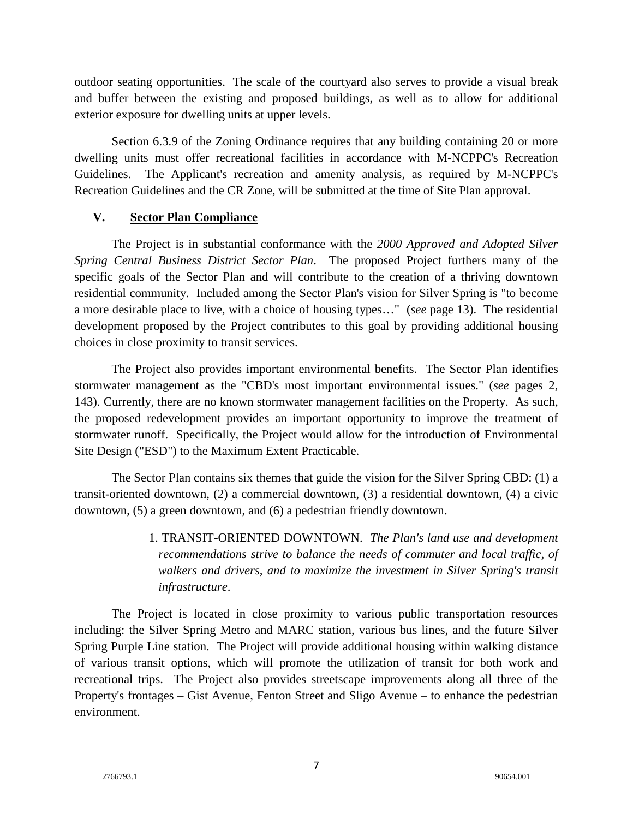outdoor seating opportunities. The scale of the courtyard also serves to provide a visual break and buffer between the existing and proposed buildings, as well as to allow for additional exterior exposure for dwelling units at upper levels.

Section 6.3.9 of the Zoning Ordinance requires that any building containing 20 or more dwelling units must offer recreational facilities in accordance with M-NCPPC's Recreation Guidelines. The Applicant's recreation and amenity analysis, as required by M-NCPPC's Recreation Guidelines and the CR Zone, will be submitted at the time of Site Plan approval.

#### **V. Sector Plan Compliance**

The Project is in substantial conformance with the *2000 Approved and Adopted Silver Spring Central Business District Sector Plan*. The proposed Project furthers many of the specific goals of the Sector Plan and will contribute to the creation of a thriving downtown residential community. Included among the Sector Plan's vision for Silver Spring is "to become a more desirable place to live, with a choice of housing types…" (*see* page 13). The residential development proposed by the Project contributes to this goal by providing additional housing choices in close proximity to transit services.

The Project also provides important environmental benefits. The Sector Plan identifies stormwater management as the "CBD's most important environmental issues." (*see* pages 2, 143). Currently, there are no known stormwater management facilities on the Property. As such, the proposed redevelopment provides an important opportunity to improve the treatment of stormwater runoff. Specifically, the Project would allow for the introduction of Environmental Site Design ("ESD") to the Maximum Extent Practicable.

The Sector Plan contains six themes that guide the vision for the Silver Spring CBD: (1) a transit-oriented downtown, (2) a commercial downtown, (3) a residential downtown, (4) a civic downtown, (5) a green downtown, and (6) a pedestrian friendly downtown.

> 1. TRANSIT-ORIENTED DOWNTOWN. *The Plan's land use and development recommendations strive to balance the needs of commuter and local traffic, of walkers and drivers, and to maximize the investment in Silver Spring's transit infrastructure*.

The Project is located in close proximity to various public transportation resources including: the Silver Spring Metro and MARC station, various bus lines, and the future Silver Spring Purple Line station. The Project will provide additional housing within walking distance of various transit options, which will promote the utilization of transit for both work and recreational trips. The Project also provides streetscape improvements along all three of the Property's frontages – Gist Avenue, Fenton Street and Sligo Avenue – to enhance the pedestrian environment.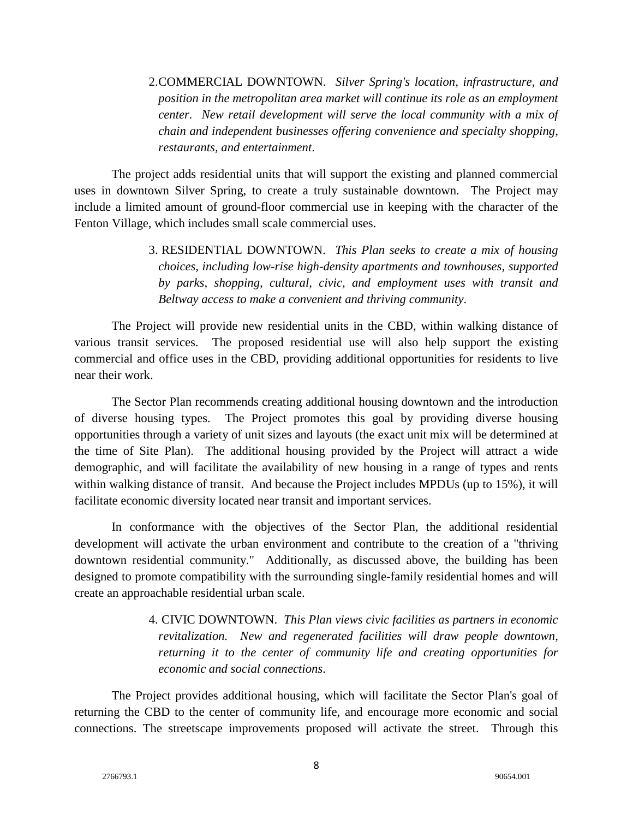# 2.COMMERCIAL DOWNTOWN. *Silver Spring's location, infrastructure, and position in the metropolitan area market will continue its role as an employment center. New retail development will serve the local community with a mix of chain and independent businesses offering convenience and specialty shopping, restaurants, and entertainment*.

The project adds residential units that will support the existing and planned commercial uses in downtown Silver Spring, to create a truly sustainable downtown. The Project may include a limited amount of ground-floor commercial use in keeping with the character of the Fenton Village, which includes small scale commercial uses.

> 3. RESIDENTIAL DOWNTOWN. *This Plan seeks to create a mix of housing choices, including low-rise high-density apartments and townhouses, supported by parks, shopping, cultural, civic, and employment uses with transit and Beltway access to make a convenient and thriving community*.

The Project will provide new residential units in the CBD, within walking distance of various transit services. The proposed residential use will also help support the existing commercial and office uses in the CBD, providing additional opportunities for residents to live near their work.

The Sector Plan recommends creating additional housing downtown and the introduction of diverse housing types. The Project promotes this goal by providing diverse housing opportunities through a variety of unit sizes and layouts (the exact unit mix will be determined at the time of Site Plan). The additional housing provided by the Project will attract a wide demographic, and will facilitate the availability of new housing in a range of types and rents within walking distance of transit. And because the Project includes MPDUs (up to 15%), it will facilitate economic diversity located near transit and important services.

In conformance with the objectives of the Sector Plan, the additional residential development will activate the urban environment and contribute to the creation of a "thriving downtown residential community." Additionally, as discussed above, the building has been designed to promote compatibility with the surrounding single-family residential homes and will create an approachable residential urban scale.

> 4. CIVIC DOWNTOWN. *This Plan views civic facilities as partners in economic revitalization. New and regenerated facilities will draw people downtown, returning it to the center of community life and creating opportunities for economic and social connections*.

The Project provides additional housing, which will facilitate the Sector Plan's goal of returning the CBD to the center of community life, and encourage more economic and social connections. The streetscape improvements proposed will activate the street. Through this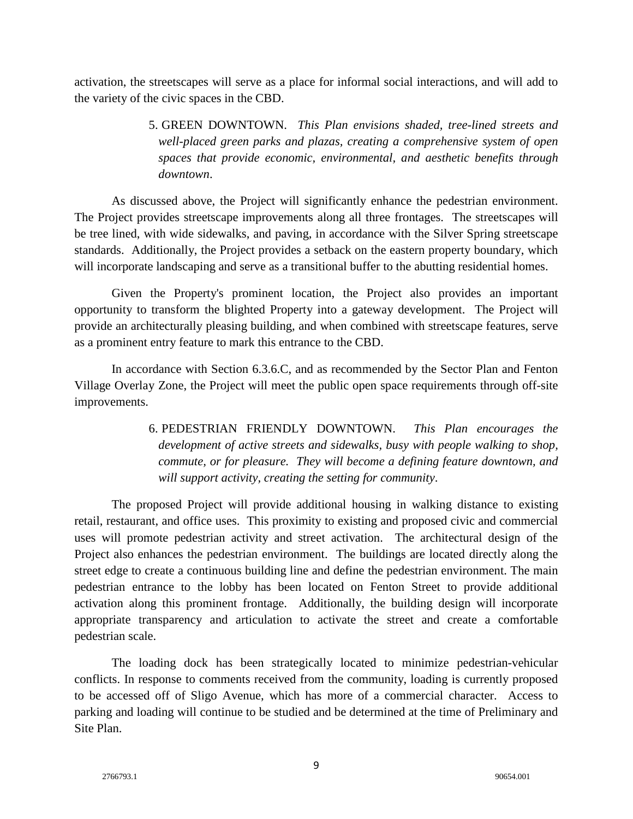activation, the streetscapes will serve as a place for informal social interactions, and will add to the variety of the civic spaces in the CBD.

> 5. GREEN DOWNTOWN. *This Plan envisions shaded, tree-lined streets and well-placed green parks and plazas, creating a comprehensive system of open spaces that provide economic, environmental, and aesthetic benefits through downtown*.

As discussed above, the Project will significantly enhance the pedestrian environment. The Project provides streetscape improvements along all three frontages. The streetscapes will be tree lined, with wide sidewalks, and paving, in accordance with the Silver Spring streetscape standards. Additionally, the Project provides a setback on the eastern property boundary, which will incorporate landscaping and serve as a transitional buffer to the abutting residential homes.

Given the Property's prominent location, the Project also provides an important opportunity to transform the blighted Property into a gateway development. The Project will provide an architecturally pleasing building, and when combined with streetscape features, serve as a prominent entry feature to mark this entrance to the CBD.

In accordance with Section 6.3.6.C, and as recommended by the Sector Plan and Fenton Village Overlay Zone, the Project will meet the public open space requirements through off-site improvements.

> 6. PEDESTRIAN FRIENDLY DOWNTOWN. *This Plan encourages the development of active streets and sidewalks, busy with people walking to shop, commute, or for pleasure. They will become a defining feature downtown, and will support activity, creating the setting for community*.

The proposed Project will provide additional housing in walking distance to existing retail, restaurant, and office uses. This proximity to existing and proposed civic and commercial uses will promote pedestrian activity and street activation. The architectural design of the Project also enhances the pedestrian environment. The buildings are located directly along the street edge to create a continuous building line and define the pedestrian environment. The main pedestrian entrance to the lobby has been located on Fenton Street to provide additional activation along this prominent frontage. Additionally, the building design will incorporate appropriate transparency and articulation to activate the street and create a comfortable pedestrian scale.

The loading dock has been strategically located to minimize pedestrian-vehicular conflicts. In response to comments received from the community, loading is currently proposed to be accessed off of Sligo Avenue, which has more of a commercial character. Access to parking and loading will continue to be studied and be determined at the time of Preliminary and Site Plan.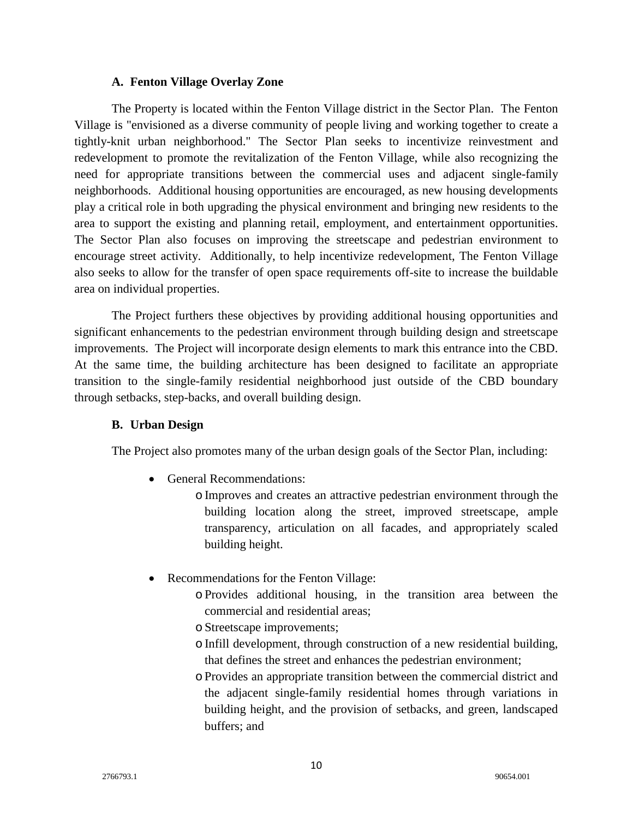#### **A. Fenton Village Overlay Zone**

The Property is located within the Fenton Village district in the Sector Plan. The Fenton Village is "envisioned as a diverse community of people living and working together to create a tightly-knit urban neighborhood." The Sector Plan seeks to incentivize reinvestment and redevelopment to promote the revitalization of the Fenton Village, while also recognizing the need for appropriate transitions between the commercial uses and adjacent single-family neighborhoods. Additional housing opportunities are encouraged, as new housing developments play a critical role in both upgrading the physical environment and bringing new residents to the area to support the existing and planning retail, employment, and entertainment opportunities. The Sector Plan also focuses on improving the streetscape and pedestrian environment to encourage street activity. Additionally, to help incentivize redevelopment, The Fenton Village also seeks to allow for the transfer of open space requirements off-site to increase the buildable area on individual properties.

The Project furthers these objectives by providing additional housing opportunities and significant enhancements to the pedestrian environment through building design and streetscape improvements. The Project will incorporate design elements to mark this entrance into the CBD. At the same time, the building architecture has been designed to facilitate an appropriate transition to the single-family residential neighborhood just outside of the CBD boundary through setbacks, step-backs, and overall building design.

## **B. Urban Design**

The Project also promotes many of the urban design goals of the Sector Plan, including:

• General Recommendations:

oImproves and creates an attractive pedestrian environment through the building location along the street, improved streetscape, ample transparency, articulation on all facades, and appropriately scaled building height.

- Recommendations for the Fenton Village:
	- oProvides additional housing, in the transition area between the commercial and residential areas;
	- o Streetscape improvements;
	- o Infill development, through construction of a new residential building, that defines the street and enhances the pedestrian environment;
	- oProvides an appropriate transition between the commercial district and the adjacent single-family residential homes through variations in building height, and the provision of setbacks, and green, landscaped buffers; and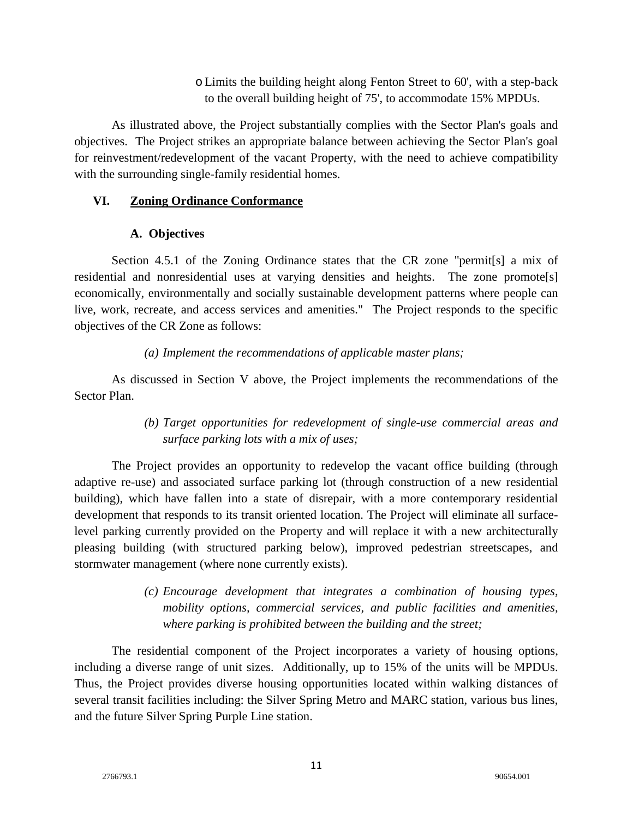oLimits the building height along Fenton Street to 60', with a step-back to the overall building height of 75', to accommodate 15% MPDUs.

As illustrated above, the Project substantially complies with the Sector Plan's goals and objectives. The Project strikes an appropriate balance between achieving the Sector Plan's goal for reinvestment/redevelopment of the vacant Property, with the need to achieve compatibility with the surrounding single-family residential homes.

## **VI. Zoning Ordinance Conformance**

# **A. Objectives**

Section 4.5.1 of the Zoning Ordinance states that the CR zone "permit[s] a mix of residential and nonresidential uses at varying densities and heights. The zone promote[s] economically, environmentally and socially sustainable development patterns where people can live, work, recreate, and access services and amenities." The Project responds to the specific objectives of the CR Zone as follows:

# *(a) Implement the recommendations of applicable master plans;*

As discussed in Section V above, the Project implements the recommendations of the Sector Plan.

# *(b) Target opportunities for redevelopment of single-use commercial areas and surface parking lots with a mix of uses;*

The Project provides an opportunity to redevelop the vacant office building (through adaptive re-use) and associated surface parking lot (through construction of a new residential building), which have fallen into a state of disrepair, with a more contemporary residential development that responds to its transit oriented location. The Project will eliminate all surfacelevel parking currently provided on the Property and will replace it with a new architecturally pleasing building (with structured parking below), improved pedestrian streetscapes, and stormwater management (where none currently exists).

> *(c) Encourage development that integrates a combination of housing types, mobility options, commercial services, and public facilities and amenities, where parking is prohibited between the building and the street;*

The residential component of the Project incorporates a variety of housing options, including a diverse range of unit sizes. Additionally, up to 15% of the units will be MPDUs. Thus, the Project provides diverse housing opportunities located within walking distances of several transit facilities including: the Silver Spring Metro and MARC station, various bus lines, and the future Silver Spring Purple Line station.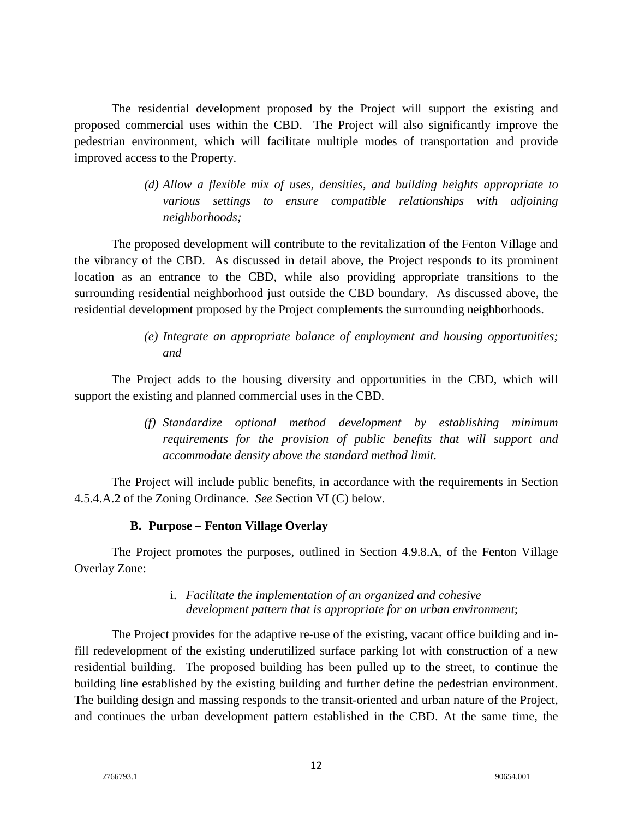The residential development proposed by the Project will support the existing and proposed commercial uses within the CBD. The Project will also significantly improve the pedestrian environment, which will facilitate multiple modes of transportation and provide improved access to the Property.

> *(d) Allow a flexible mix of uses, densities, and building heights appropriate to various settings to ensure compatible relationships with adjoining neighborhoods;*

The proposed development will contribute to the revitalization of the Fenton Village and the vibrancy of the CBD. As discussed in detail above, the Project responds to its prominent location as an entrance to the CBD, while also providing appropriate transitions to the surrounding residential neighborhood just outside the CBD boundary. As discussed above, the residential development proposed by the Project complements the surrounding neighborhoods.

> *(e) Integrate an appropriate balance of employment and housing opportunities; and*

The Project adds to the housing diversity and opportunities in the CBD, which will support the existing and planned commercial uses in the CBD.

> *(f) Standardize optional method development by establishing minimum requirements for the provision of public benefits that will support and accommodate density above the standard method limit.*

The Project will include public benefits, in accordance with the requirements in Section 4.5.4.A.2 of the Zoning Ordinance. *See* Section VI (C) below.

## **B. Purpose – Fenton Village Overlay**

The Project promotes the purposes, outlined in Section 4.9.8.A, of the Fenton Village Overlay Zone:

## i. *Facilitate the implementation of an organized and cohesive development pattern that is appropriate for an urban environment*;

The Project provides for the adaptive re-use of the existing, vacant office building and infill redevelopment of the existing underutilized surface parking lot with construction of a new residential building. The proposed building has been pulled up to the street, to continue the building line established by the existing building and further define the pedestrian environment. The building design and massing responds to the transit-oriented and urban nature of the Project, and continues the urban development pattern established in the CBD. At the same time, the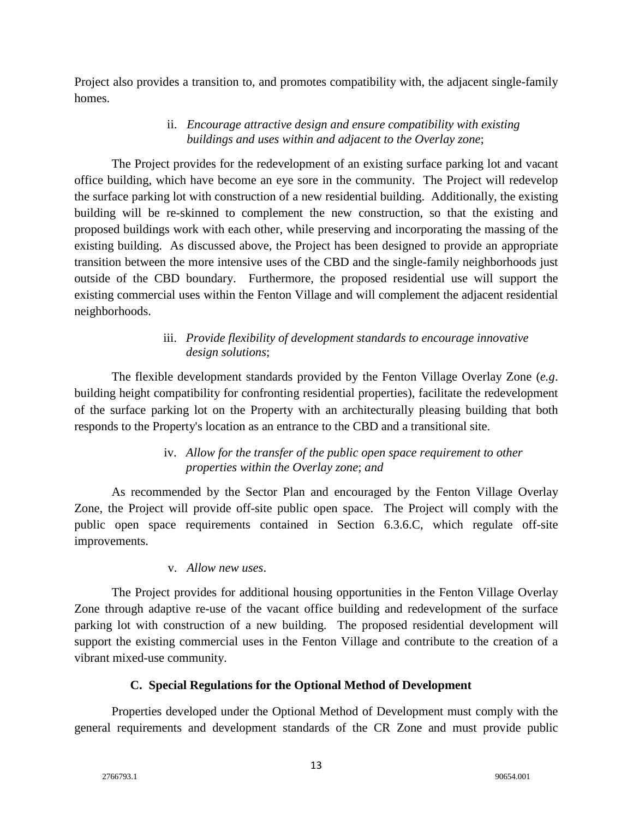Project also provides a transition to, and promotes compatibility with, the adjacent single-family homes.

# ii. *Encourage attractive design and ensure compatibility with existing buildings and uses within and adjacent to the Overlay zone*;

The Project provides for the redevelopment of an existing surface parking lot and vacant office building, which have become an eye sore in the community. The Project will redevelop the surface parking lot with construction of a new residential building. Additionally, the existing building will be re-skinned to complement the new construction, so that the existing and proposed buildings work with each other, while preserving and incorporating the massing of the existing building. As discussed above, the Project has been designed to provide an appropriate transition between the more intensive uses of the CBD and the single-family neighborhoods just outside of the CBD boundary. Furthermore, the proposed residential use will support the existing commercial uses within the Fenton Village and will complement the adjacent residential neighborhoods.

# iii. *Provide flexibility of development standards to encourage innovative design solutions*;

The flexible development standards provided by the Fenton Village Overlay Zone (*e.g*. building height compatibility for confronting residential properties), facilitate the redevelopment of the surface parking lot on the Property with an architecturally pleasing building that both responds to the Property's location as an entrance to the CBD and a transitional site.

# iv. *Allow for the transfer of the public open space requirement to other properties within the Overlay zone*; *and*

As recommended by the Sector Plan and encouraged by the Fenton Village Overlay Zone, the Project will provide off-site public open space. The Project will comply with the public open space requirements contained in Section 6.3.6.C, which regulate off-site improvements.

## v. *Allow new uses*.

The Project provides for additional housing opportunities in the Fenton Village Overlay Zone through adaptive re-use of the vacant office building and redevelopment of the surface parking lot with construction of a new building. The proposed residential development will support the existing commercial uses in the Fenton Village and contribute to the creation of a vibrant mixed-use community.

## **C. Special Regulations for the Optional Method of Development**

Properties developed under the Optional Method of Development must comply with the general requirements and development standards of the CR Zone and must provide public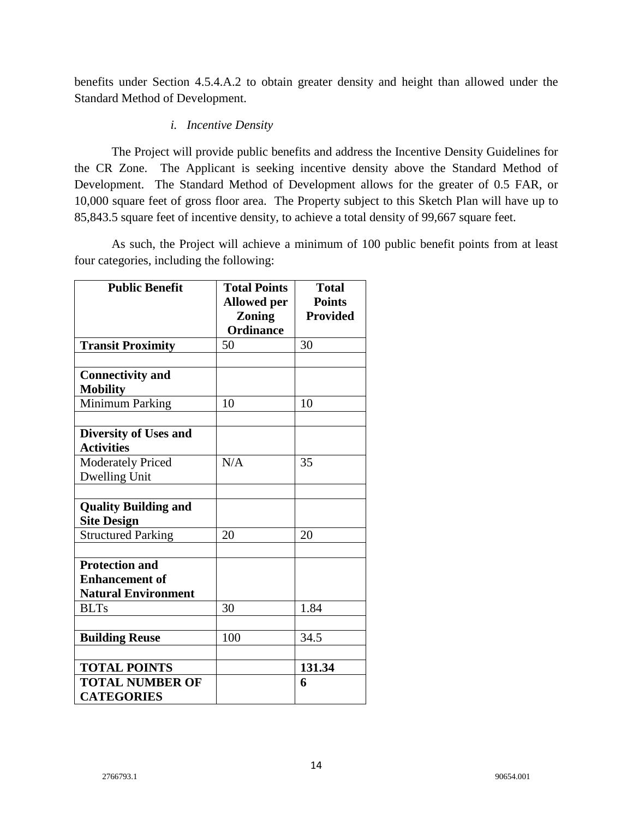benefits under Section 4.5.4.A.2 to obtain greater density and height than allowed under the Standard Method of Development.

# *i. Incentive Density*

The Project will provide public benefits and address the Incentive Density Guidelines for the CR Zone. The Applicant is seeking incentive density above the Standard Method of Development. The Standard Method of Development allows for the greater of 0.5 FAR, or 10,000 square feet of gross floor area. The Property subject to this Sketch Plan will have up to 85,843.5 square feet of incentive density, to achieve a total density of 99,667 square feet.

As such, the Project will achieve a minimum of 100 public benefit points from at least four categories, including the following:

| <b>Public Benefit</b>        | <b>Total Points</b> | <b>Total</b>    |
|------------------------------|---------------------|-----------------|
|                              | <b>Allowed per</b>  | <b>Points</b>   |
|                              | <b>Zoning</b>       | <b>Provided</b> |
|                              | <b>Ordinance</b>    |                 |
| <b>Transit Proximity</b>     | 50                  | 30              |
|                              |                     |                 |
| <b>Connectivity and</b>      |                     |                 |
| <b>Mobility</b>              |                     |                 |
| Minimum Parking              | 10                  | 10              |
|                              |                     |                 |
| <b>Diversity of Uses and</b> |                     |                 |
| <b>Activities</b>            |                     |                 |
| <b>Moderately Priced</b>     | N/A                 | 35              |
| Dwelling Unit                |                     |                 |
|                              |                     |                 |
| <b>Quality Building and</b>  |                     |                 |
| <b>Site Design</b>           |                     |                 |
| <b>Structured Parking</b>    | 20                  | 20              |
|                              |                     |                 |
| <b>Protection and</b>        |                     |                 |
| <b>Enhancement of</b>        |                     |                 |
| <b>Natural Environment</b>   |                     |                 |
| <b>BLTs</b>                  | 30                  | 1.84            |
|                              |                     |                 |
| <b>Building Reuse</b>        | 100                 | 34.5            |
|                              |                     |                 |
| <b>TOTAL POINTS</b>          |                     | 131.34          |
| <b>TOTAL NUMBER OF</b>       |                     | 6               |
| <b>CATEGORIES</b>            |                     |                 |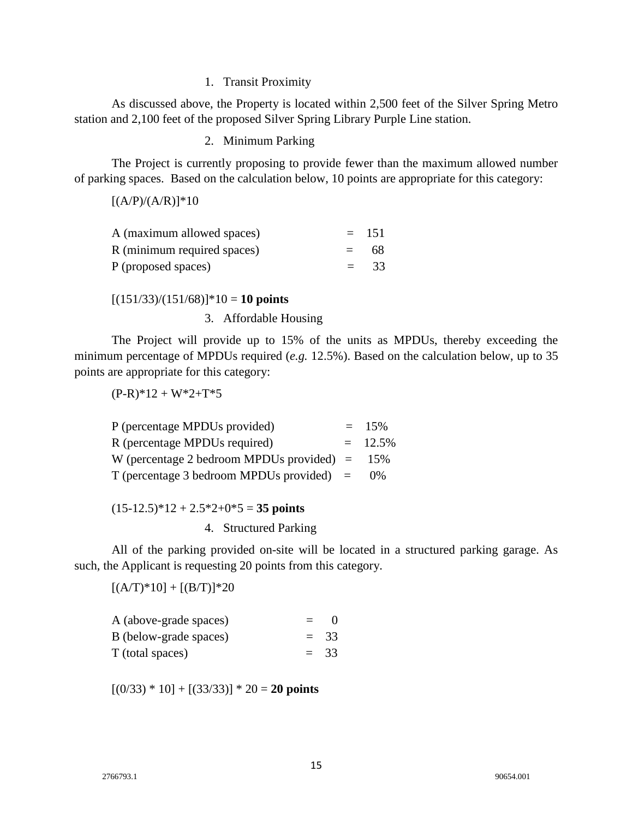#### 1. Transit Proximity

As discussed above, the Property is located within 2,500 feet of the Silver Spring Metro station and 2,100 feet of the proposed Silver Spring Library Purple Line station.

2. Minimum Parking

The Project is currently proposing to provide fewer than the maximum allowed number of parking spaces. Based on the calculation below, 10 points are appropriate for this category:

 $[(A/P)/(A/R)]*10$ 

| A (maximum allowed spaces)  | $= 151$ |
|-----------------------------|---------|
| R (minimum required spaces) | $= 68$  |
| P (proposed spaces)         | $=$ 33  |

#### $[(151/33)/(151/68)]$ <sup>\*</sup>10 = **10 points**

3. Affordable Housing

The Project will provide up to 15% of the units as MPDUs, thereby exceeding the minimum percentage of MPDUs required (*e.g.* 12.5%). Based on the calculation below, up to 35 points are appropriate for this category:

 $(P-R)*12 + W*2+T*5$ 

| P (percentage MPDUs provided)               | $= 15\%$   |
|---------------------------------------------|------------|
| R (percentage MPDUs required)               | $= 12.5\%$ |
| W (percentage 2 bedroom MPDUs provided) $=$ | 15%        |
| $T$ (percentage 3 bedroom MPDUs provided) = | $0\%$      |

 $(15-12.5)*12 + 2.5*2+0*5 = 35$  points

4. Structured Parking

All of the parking provided on-site will be located in a structured parking garage. As such, the Applicant is requesting 20 points from this category.

 $[(A/T)^*10] + [(B/T)]^*20$ 

| A (above-grade spaces) | $\equiv$ | -0     |
|------------------------|----------|--------|
| B (below-grade spaces) |          | $= 33$ |
| T (total spaces)       |          | $= 33$ |

 $[(0/33) * 10] + [(33/33)] * 20 = 20$  points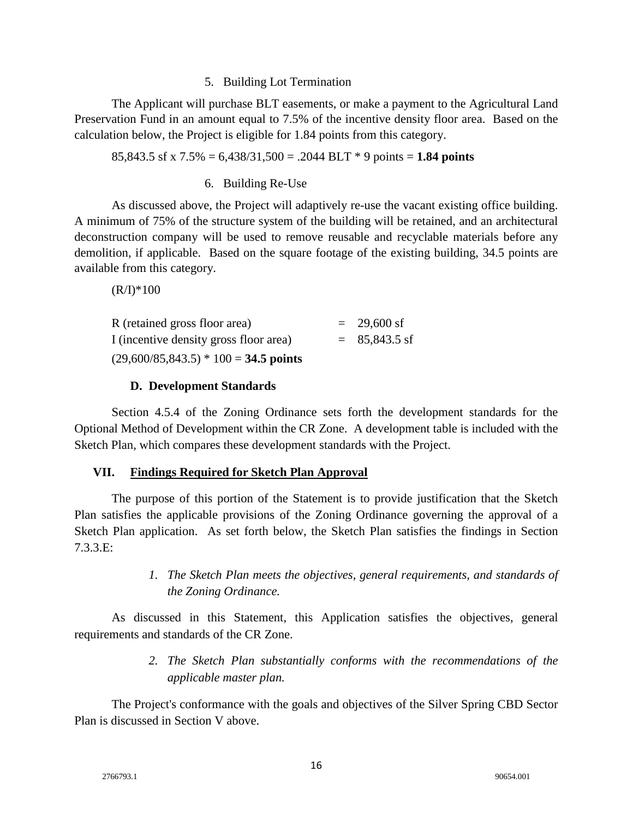#### 5. Building Lot Termination

The Applicant will purchase BLT easements, or make a payment to the Agricultural Land Preservation Fund in an amount equal to 7.5% of the incentive density floor area. Based on the calculation below, the Project is eligible for 1.84 points from this category.

85,843.5 sf x 7.5% = 6,438/31,500 = .2044 BLT \* 9 points = **1.84 points**

#### 6. Building Re-Use

As discussed above, the Project will adaptively re-use the vacant existing office building. A minimum of 75% of the structure system of the building will be retained, and an architectural deconstruction company will be used to remove reusable and recyclable materials before any demolition, if applicable. Based on the square footage of the existing building, 34.5 points are available from this category.

 $(R/I)*100$ 

| R (retained gross floor area)           | $= 29,600 \text{ sf}$ |
|-----------------------------------------|-----------------------|
| I (incentive density gross floor area)  | $= 85,843.5$ sf       |
| $(29,600/85,843.5) * 100 = 34.5$ points |                       |

## **D. Development Standards**

Section 4.5.4 of the Zoning Ordinance sets forth the development standards for the Optional Method of Development within the CR Zone. A development table is included with the Sketch Plan, which compares these development standards with the Project.

## **VII. Findings Required for Sketch Plan Approval**

The purpose of this portion of the Statement is to provide justification that the Sketch Plan satisfies the applicable provisions of the Zoning Ordinance governing the approval of a Sketch Plan application. As set forth below, the Sketch Plan satisfies the findings in Section 7.3.3.E:

> *1. The Sketch Plan meets the objectives, general requirements, and standards of the Zoning Ordinance.*

As discussed in this Statement, this Application satisfies the objectives, general requirements and standards of the CR Zone.

> *2. The Sketch Plan substantially conforms with the recommendations of the applicable master plan.*

The Project's conformance with the goals and objectives of the Silver Spring CBD Sector Plan is discussed in Section V above.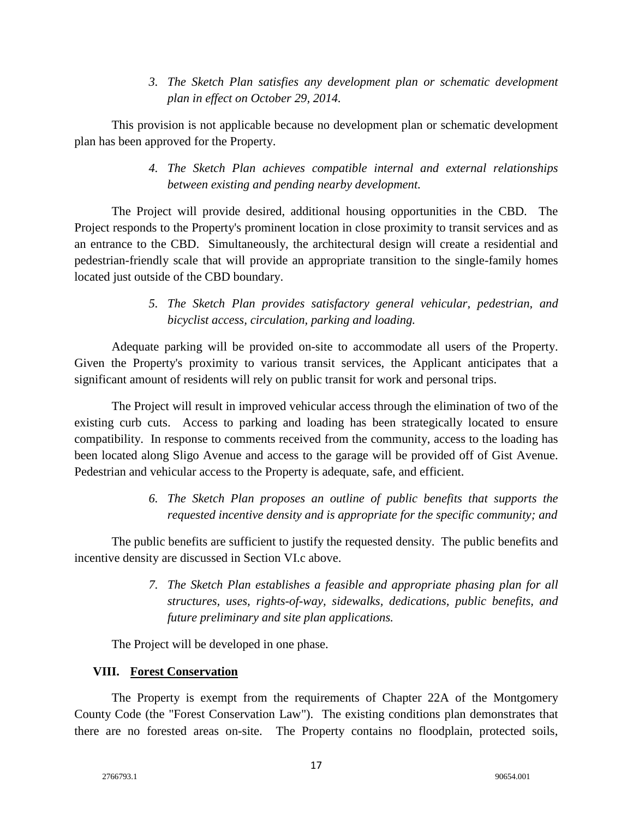*3. The Sketch Plan satisfies any development plan or schematic development plan in effect on October 29, 2014.*

This provision is not applicable because no development plan or schematic development plan has been approved for the Property.

> *4. The Sketch Plan achieves compatible internal and external relationships between existing and pending nearby development.*

The Project will provide desired, additional housing opportunities in the CBD. The Project responds to the Property's prominent location in close proximity to transit services and as an entrance to the CBD. Simultaneously, the architectural design will create a residential and pedestrian-friendly scale that will provide an appropriate transition to the single-family homes located just outside of the CBD boundary.

> *5. The Sketch Plan provides satisfactory general vehicular, pedestrian, and bicyclist access, circulation, parking and loading.*

Adequate parking will be provided on-site to accommodate all users of the Property. Given the Property's proximity to various transit services, the Applicant anticipates that a significant amount of residents will rely on public transit for work and personal trips.

The Project will result in improved vehicular access through the elimination of two of the existing curb cuts. Access to parking and loading has been strategically located to ensure compatibility. In response to comments received from the community, access to the loading has been located along Sligo Avenue and access to the garage will be provided off of Gist Avenue. Pedestrian and vehicular access to the Property is adequate, safe, and efficient.

> *6. The Sketch Plan proposes an outline of public benefits that supports the requested incentive density and is appropriate for the specific community; and*

The public benefits are sufficient to justify the requested density. The public benefits and incentive density are discussed in Section VI.c above.

> *7. The Sketch Plan establishes a feasible and appropriate phasing plan for all structures, uses, rights-of-way, sidewalks, dedications, public benefits, and future preliminary and site plan applications.*

The Project will be developed in one phase.

## **VIII. Forest Conservation**

The Property is exempt from the requirements of Chapter 22A of the Montgomery County Code (the "Forest Conservation Law"). The existing conditions plan demonstrates that there are no forested areas on-site. The Property contains no floodplain, protected soils,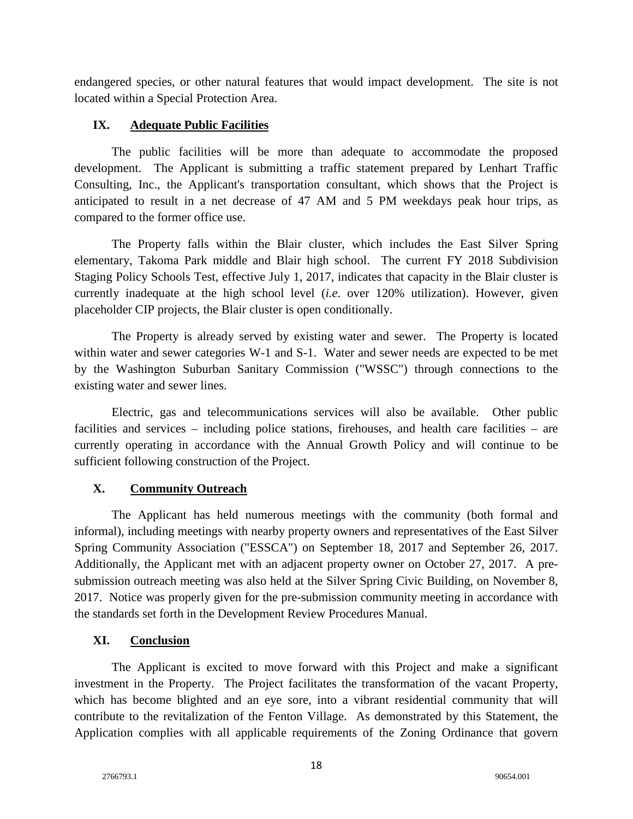endangered species, or other natural features that would impact development. The site is not located within a Special Protection Area.

## **IX. Adequate Public Facilities**

The public facilities will be more than adequate to accommodate the proposed development. The Applicant is submitting a traffic statement prepared by Lenhart Traffic Consulting, Inc., the Applicant's transportation consultant, which shows that the Project is anticipated to result in a net decrease of 47 AM and 5 PM weekdays peak hour trips, as compared to the former office use.

The Property falls within the Blair cluster, which includes the East Silver Spring elementary, Takoma Park middle and Blair high school. The current FY 2018 Subdivision Staging Policy Schools Test, effective July 1, 2017, indicates that capacity in the Blair cluster is currently inadequate at the high school level (*i.e*. over 120% utilization). However, given placeholder CIP projects, the Blair cluster is open conditionally.

The Property is already served by existing water and sewer. The Property is located within water and sewer categories W-1 and S-1. Water and sewer needs are expected to be met by the Washington Suburban Sanitary Commission ("WSSC") through connections to the existing water and sewer lines.

Electric, gas and telecommunications services will also be available. Other public facilities and services – including police stations, firehouses, and health care facilities – are currently operating in accordance with the Annual Growth Policy and will continue to be sufficient following construction of the Project.

# **X. Community Outreach**

The Applicant has held numerous meetings with the community (both formal and informal), including meetings with nearby property owners and representatives of the East Silver Spring Community Association ("ESSCA") on September 18, 2017 and September 26, 2017. Additionally, the Applicant met with an adjacent property owner on October 27, 2017. A presubmission outreach meeting was also held at the Silver Spring Civic Building, on November 8, 2017. Notice was properly given for the pre-submission community meeting in accordance with the standards set forth in the Development Review Procedures Manual.

## **XI. Conclusion**

The Applicant is excited to move forward with this Project and make a significant investment in the Property. The Project facilitates the transformation of the vacant Property, which has become blighted and an eye sore, into a vibrant residential community that will contribute to the revitalization of the Fenton Village. As demonstrated by this Statement, the Application complies with all applicable requirements of the Zoning Ordinance that govern